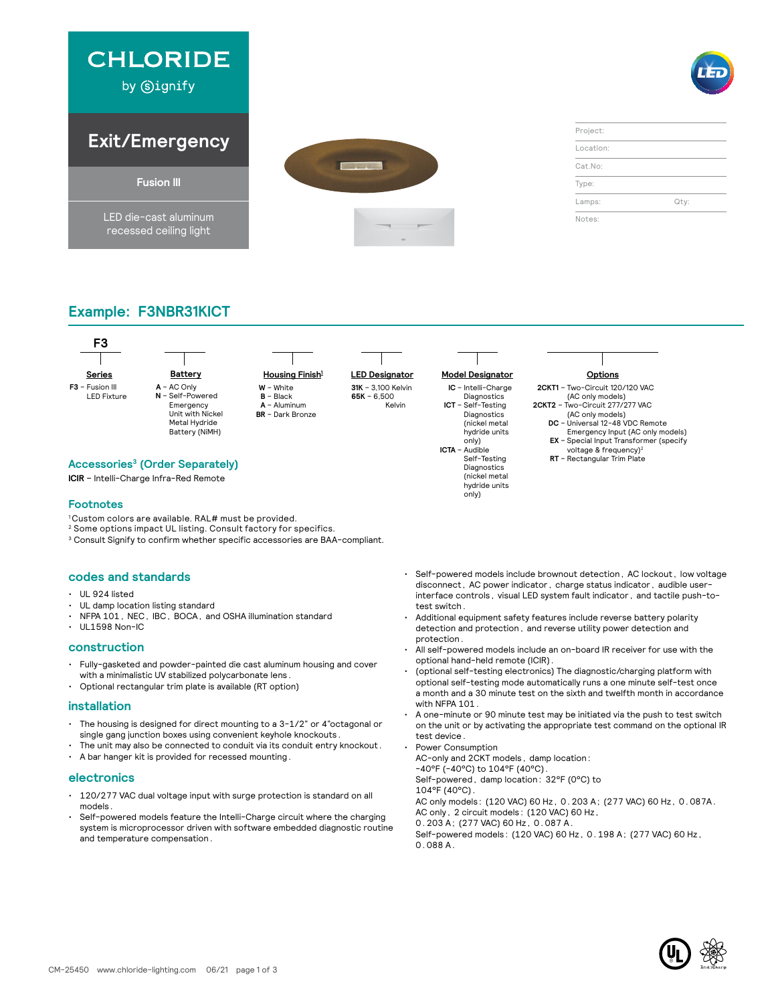

### **Example: F3NBR31KICT**



Diagnostics (nickel metal hydride units only)

#### **Accessories3 (Order Separately)**

**ICIR** – Intelli-Charge Infra-Red Remote

#### **Footnotes**

- <sup>1</sup> Custom colors are available. RAL# must be provided.
- 2 Some options impact UL listing. Consult factory for specifics.
- <sup>3</sup> Consult Signify to confirm whether specific accessories are BAA-compliant.

#### **codes and standards**

- UL 924 listed
- UL damp location listing standard
- NFPA 101, NEC, IBC, BOCA, and OSHA illumination standard

#### • UL1598 Non-IC **construction**

- Fully-gasketed and powder-painted die cast aluminum housing and cover with a minimalistic UV stabilized polycarbonate lens.
- Optional rectangular trim plate is available (RT option)

#### **installation**

- The housing is designed for direct mounting to a 3-1/2" or 4"octagonal or single gang junction boxes using convenient keyhole knockouts.
- The unit may also be connected to conduit via its conduit entry knockout.
- A bar hanger kit is provided for recessed mounting.

#### **electronics**

- 120/277 VAC dual voltage input with surge protection is standard on all models.
- Self-powered models feature the Intelli-Charge circuit where the charging system is microprocessor driven with software embedded diagnostic routine and temperature compensation.
- Self-powered models include brownout detection, AC lockout, low voltage disconnect, AC power indicator, charge status indicator, audible userinterface controls, visual LED system fault indicator, and tactile push-totest switch.
- Additional equipment safety features include reverse battery polarity detection and protection, and reverse utility power detection and protection.
- All self-powered models include an on-board IR receiver for use with the optional hand-held remote (ICIR).
- (optional self-testing electronics) The diagnostic/charging platform with optional self-testing mode automatically runs a one minute self-test once a month and a 30 minute test on the sixth and twelfth month in accordance with NFPA 101.
- A one-minute or 90 minute test may be initiated via the push to test switch on the unit or by activating the appropriate test command on the optional IR test device.
- Power Consumption AC-only and 2CKT models, damp location: -40°F (-40°C) to 104°F (40°C). Self-powered, damp location: 32°F (0°C) to 104°F (40°C). AC only models: (120 VAC) 60 Hz, 0.203 A; (277 VAC) 60 Hz, 0.087A. AC only, 2 circuit models: (120 VAC) 60 Hz, 0.203 A; (277 VAC) 60 Hz, 0.087 A. Self-powered models: (120 VAC) 60 Hz, 0.198 A; (277 VAC) 60 Hz, 0.088 A.

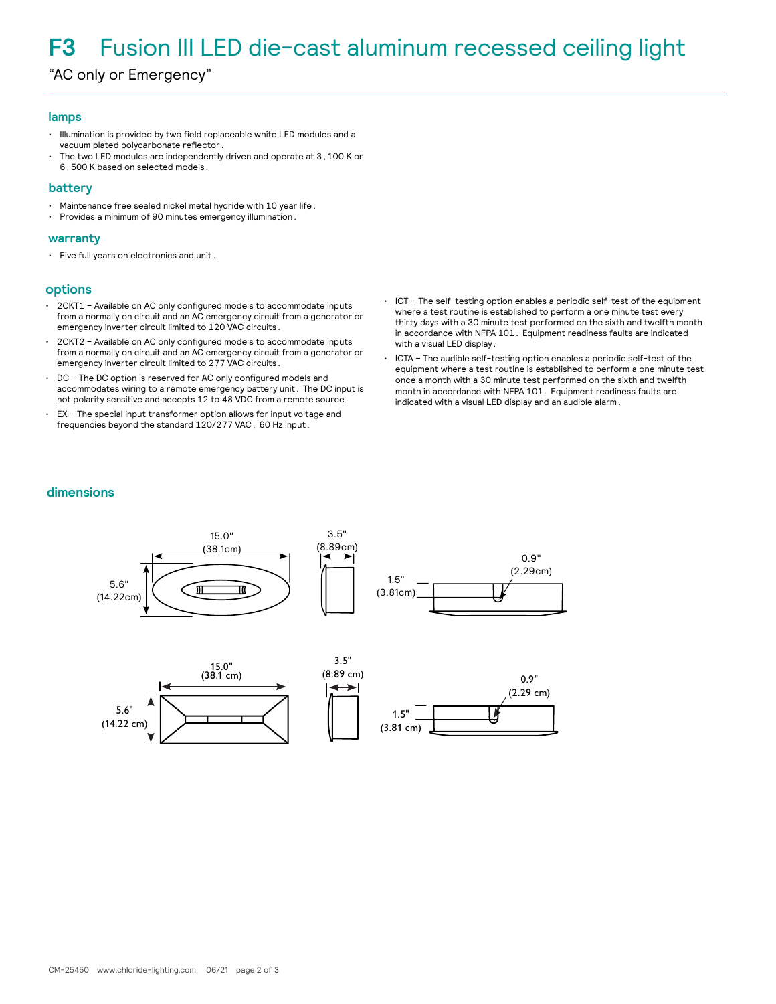## **F3** Fusion III LED die-cast aluminum recessed ceiling light

"AC only or Emergency"

#### **lamps**

- Illumination is provided by two field replaceable white LED modules and a vacuum plated polycarbonate reflector.
- The two LED modules are independently driven and operate at 3,100 K or 6,500 K based on selected models.

#### **battery**

- Maintenance free sealed nickel metal hydride with 10 year life.
- Provides a minimum of 90 minutes emergency illumination.

#### **warranty**

• Five full years on electronics and unit.

#### **options**

- 2CKT1 Available on AC only configured models to accommodate inputs from a normally on circuit and an AC emergency circuit from a generator or emergency inverter circuit limited to 120 VAC circuits.
- 2CKT2 Available on AC only configured models to accommodate inputs from a normally on circuit and an AC emergency circuit from a generator or emergency inverter circuit limited to 277 VAC circuits.
- DC The DC option is reserved for AC only configured models and accommodates wiring to a remote emergency battery unit. The DC input is not polarity sensitive and accepts 12 to 48 VDC from a remote source.
- EX The special input transformer option allows for input voltage and frequencies beyond the standard 120/277 VAC, 60 Hz input.
- ICT The self-testing option enables a periodic self-test of the equipment where a test routine is established to perform a one minute test every thirty days with a 30 minute test performed on the sixth and twelfth month in accordance with NFPA 101. Equipment readiness faults are indicated with a visual LED display.
- ICTA The audible self-testing option enables a periodic self-test of the equipment where a test routine is established to perform a one minute test once a month with a 30 minute test performed on the sixth and twelfth month in accordance with NFPA 101. Equipment readiness faults are indicated with a visual LED display and an audible alarm.

#### **dimensions**